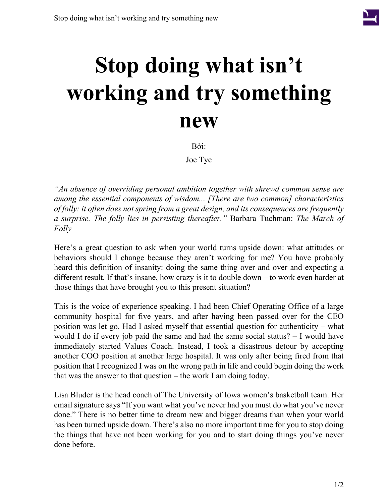

## **Stop doing what isn't working and try something new**

Bởi:

Joe Tye

*"An absence of overriding personal ambition together with shrewd common sense are among the essential components of wisdom... [There are two common] characteristics of folly: it often does not spring from a great design, and its consequences are frequently a surprise. The folly lies in persisting thereafter."* Barbara Tuchman: *The March of Folly*

Here's a great question to ask when your world turns upside down: what attitudes or behaviors should I change because they aren't working for me? You have probably heard this definition of insanity: doing the same thing over and over and expecting a different result. If that's insane, how crazy is it to double down – to work even harder at those things that have brought you to this present situation?

This is the voice of experience speaking. I had been Chief Operating Office of a large community hospital for five years, and after having been passed over for the CEO position was let go. Had I asked myself that essential question for authenticity – what would I do if every job paid the same and had the same social status? – I would have immediately started Values Coach. Instead, I took a disastrous detour by accepting another COO position at another large hospital. It was only after being fired from that position that I recognized I was on the wrong path in life and could begin doing the work that was the answer to that question – the work I am doing today.

Lisa Bluder is the head coach of The University of Iowa women's basketball team. Her email signature says "If you want what you've never had you must do what you've never done." There is no better time to dream new and bigger dreams than when your world has been turned upside down. There's also no more important time for you to stop doing the things that have not been working for you and to start doing things you've never done before.